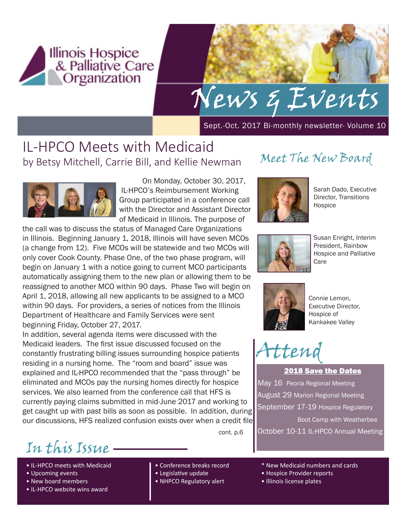

## News & Events

Sept.-Oct. 2017 Bi-monthly newsletter- Volume 10

## IL-HPCO Meets with Medicaid by Betsy Mitchell, Carrie Bill, and Kellie Newman



On Monday, October 30, 2017, IL-HPCO's Reimbursement Working Group participated in a conference call with the Director and Assistant Director of Medicaid in Illinois. The purpose of

the call was to discuss the status of Managed Care Organizations in Illinois. Beginning January 1, 2018, Illinois will have seven MCOs (a change from 12). Five MCOs will be statewide and two MCOs will only cover Cook County. Phase One, of the two phase program, will begin on January 1 with a notice going to current MCO participants automatically assigning them to the new plan or allowing them to be reassigned to another MCO within 90 days. Phase Two will begin on April 1, 2018, allowing all new applicants to be assigned to a MCO within 90 days. For providers, a series of notices from the Illinois Department of Healthcare and Family Services were sent beginning Friday, October 27, 2017.

In addition, several agenda items were discussed with the Medicaid leaders. The first issue discussed focused on the constantly frustrating billing issues surrounding hospice patients residing in a nursing home. The "room and board" issue was explained and IL-HPCO recommended that the "pass through" be eliminated and MCOs pay the nursing homes directly for hospice services. We also learned from the conference call that HFS is currently paying claims submitted in mid-June 2017 and working to get caught up with past bills as soon as possible. In addition, during our discussions, HFS realized confusion exists over when a credit file

cont. p.6

## Meet The New Board



Sarah Dado, Executive Director, Transitions Hospice



Susan Enright, Interim President, Rainbow Hospice and Palliative Care



Connie Lemon, Executive Director, Hospice of Kankakee Valley

## Attend

2018 Save the Dates May 16 Peoria Regional Meeting August 29 Marion Regional Meeting September 17-19 Hospice Regulatory Boot Camp with Weatherbee October 10-11 IL-HPCO Annual Meeting

In this Issue

- IL-HPCO meets with Medicaid
- Upcoming events
- New board members
- IL-HPCO website wins award
- Conference breaks record
- Legislative update
- NHPCO Regulatory alert
- \* New Medicaid numbers and cards
- Hospice Provider reports
- Illinois license plates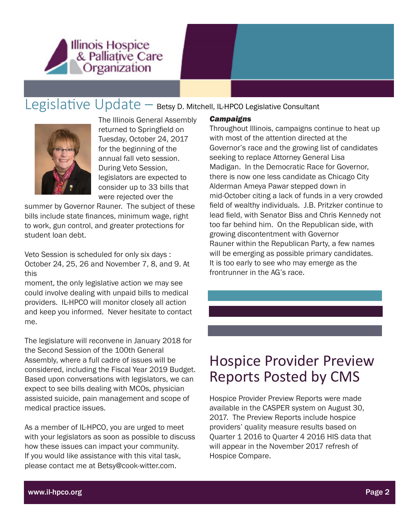

### Legislative Update – Betsy D. Mitchell, IL-HPCO Legislative Consultant



The Illinois General Assembly returned to Springfield on Tuesday, October 24, 2017 for the beginning of the annual fall veto session. During Veto Session, legislators are expected to consider up to 33 bills that were rejected over the

summer by Governor Rauner. The subject of these bills include state finances, minimum wage, right to work, gun control, and greater protections for student loan debt.

Veto Session is scheduled for only six days : October 24, 25, 26 and November 7, 8, and 9. At this

moment, the only legislative action we may see could involve dealing with unpaid bills to medical providers. IL-HPCO will monitor closely all action and keep you informed. Never hesitate to contact me.

The legislature will reconvene in January 2018 for the Second Session of the 100th General Assembly, where a full cadre of issues will be considered, including the Fiscal Year 2019 Budget. Based upon conversations with legislators, we can expect to see bills dealing with MCOs, physician assisted suicide, pain management and scope of medical practice issues.

As a member of IL-HPCO, you are urged to meet with your legislators as soon as possible to discuss how these issues can impact your community. If you would like assistance with this vital task, please contact me at Betsy@cook-witter.com.

#### *Campaigns*

Throughout Illinois, campaigns continue to heat up with most of the attention directed at the Governor's race and the growing list of candidates seeking to replace Attorney General Lisa Madigan. In the Democratic Race for Governor, there is now one less candidate as Chicago City Alderman Ameya Pawar stepped down in mid-October citing a lack of funds in a very crowded field of wealthy individuals. J.B. Pritzker continue to lead field, with Senator Biss and Chris Kennedy not too far behind him. On the Republican side, with growing discontentment with Governor Rauner within the Republican Party, a few names will be emerging as possible primary candidates. It is too early to see who may emerge as the frontrunner in the AG's race.

## Hospice Provider Preview Reports Posted by CMS

Hospice Provider Preview Reports were made available in the CASPER system on August 30, 2017. The Preview Reports include hospice providers' quality measure results based on Quarter 1 2016 to Quarter 4 2016 HIS data that will appear in the November 2017 refresh of Hospice Compare.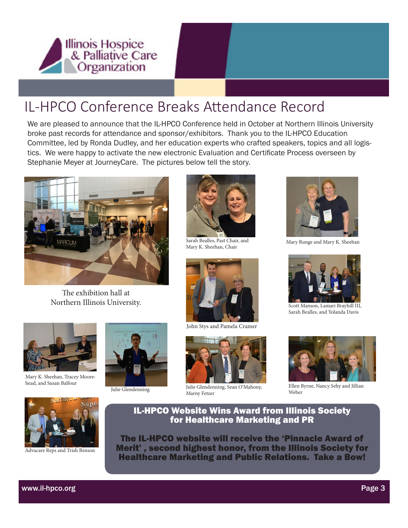

## IL-HPCO Conference Breaks Attendance Record

We are pleased to announce that the IL-HPCO Conference held in October at Northern Illinois University broke past records for attendance and sponsor/exhibitors. Thank you to the IL-HPCO Education Committee, led by Ronda Dudley, and her education experts who crafted speakers, topics and all logistics. We were happy to activate the new electronic Evaluation and Certificate Process overseen by Stephanie Meyer at JourneyCare. The pictures below tell the story.



The exhibition hall at Northern Illinois University.



Mary K. Sheehan, Tracey Moorehead, and Susan Balfour





Advacare Reps and Trish Benson





Sarah Bealles, Past Chair, and Mary K. Sheehan, Chair



John Stys and Pamela Cramer



Julie Glendenning Julie Glendenning, Sean O'Mahony, Marny Fetzer



Mary Runge and Mary K. Sheehan



Scott Manson, Lamari Brayhill III, Sarah Bealles, and Yolanda Davis



Ellen Byrne, Nancy Sehy and Jillian Weber



The IL-HPCO website will receive the 'Pinnacle Award of Merit' , second highest honor, from the Illinois Society for Healthcare Marketing and Public Relations. Take a Bow!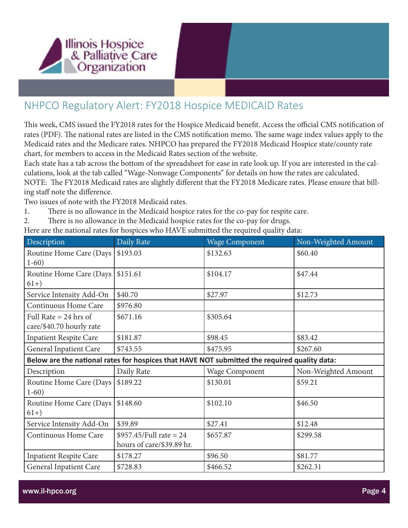

#### NHPCO Regulatory Alert: FY2018 Hospice MEDICAID Rates

This week, CMS issued the FY2018 rates for the Hospice Medicaid benefit. Access the official CMS notification of rates (PDF). The national rates are listed in the CMS notification memo. The same wage index values apply to the Medicaid rates and the Medicare rates. NHPCO has prepared the FY2018 Medicaid Hospice state/county rate chart, for members to access in the Medicaid Rates section of the website.

Each state has a tab across the bottom of the spreadsheet for ease in rate look up. If you are interested in the calculations, look at the tab called "Wage-Nonwage Components" for details on how the rates are calculated. NOTE: The FY2018 Medicaid rates are slightly different that the FY2018 Medicare rates. Please ensure that billing staff note the difference.

Two issues of note with the FY2018 Medicaid rates.

- 1. There is no allowance in the Medicaid hospice rates for the co-pay for respite care.
- 2. There is no allowance in the Medicaid hospice rates for the co-pay for drugs.

Here are the national rates for hospices who HAVE submitted the required quality data:

| Description                                                                                  | Daily Rate                                             | <b>Wage Component</b> | Non-Weighted Amount |
|----------------------------------------------------------------------------------------------|--------------------------------------------------------|-----------------------|---------------------|
| Routine Home Care (Days<br>$1-60)$                                                           | \$193.03                                               | \$132.63              | \$60.40             |
| Routine Home Care (Days<br>$61+)$                                                            | \$151.61                                               | \$104.17              | \$47.44             |
| Service Intensity Add-On                                                                     | \$40.70                                                | \$27.97               | \$12.73             |
| Continuous Home Care                                                                         | \$976.80                                               |                       |                     |
| Full Rate $= 24$ hrs of<br>care/\$40.70 hourly rate                                          | \$671.16                                               | \$305.64              |                     |
| <b>Inpatient Respite Care</b>                                                                | \$181.87                                               | \$98.45               | \$83.42             |
| General Inpatient Care                                                                       | \$743.55                                               | \$475.95              | \$267.60            |
| Below are the national rates for hospices that HAVE NOT submitted the required quality data: |                                                        |                       |                     |
| Description                                                                                  | Daily Rate                                             | <b>Wage Component</b> | Non-Weighted Amount |
| Routine Home Care (Days<br>$1-60)$                                                           | \$189.22                                               | \$130.01              | \$59.21             |
| Routine Home Care (Days<br>$61+)$                                                            | \$148.60                                               | \$102.10              | \$46.50             |
| Service Intensity Add-On                                                                     | \$39.89                                                | \$27.41               | \$12.48             |
| Continuous Home Care                                                                         | \$957.45/Full rate = $24$<br>hours of care/\$39.89 hr. | \$657.87              | \$299.58            |
| <b>Inpatient Respite Care</b>                                                                | \$178.27                                               | \$96.50               | \$81.77             |
| <b>General Inpatient Care</b>                                                                | \$728.83                                               | \$466.52              | \$262.31            |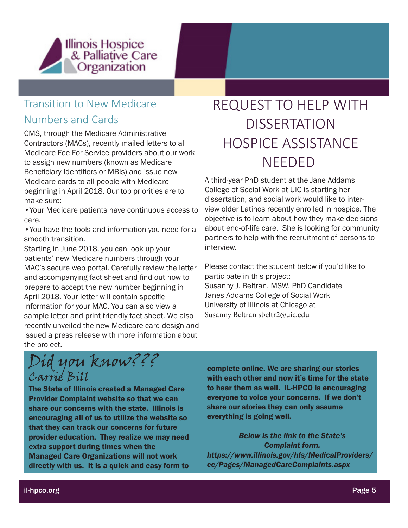

#### Transition to New Medicare

#### Numbers and Cards

CMS, through the Medicare Administrative Contractors (MACs), recently mailed letters to all Medicare Fee-For-Service providers about our work to assign new numbers (known as Medicare Beneficiary Identifiers or MBIs) and issue new Medicare cards to all people with Medicare beginning in April 2018. Our top priorities are to make sure:

•Your Medicare patients have continuous access to care.

•You have the tools and information you need for a smooth transition.

Starting in June 2018, you can look up your patients' new Medicare numbers through your MAC's secure web portal. Carefully review the letter and accompanying fact sheet and find out how to prepare to accept the new number beginning in April 2018. Your letter will contain specific information for your MAC. You can also view a sample letter and print-friendly fact sheet. We also recently unveiled the new Medicare card design and issued a press release with more information about the project.

## REQUEST TO HELP WITH **DISSERTATION** HOSPICE ASSISTANCE NEEDED

A third-year PhD student at the Jane Addams College of Social Work at UIC is starting her dissertation, and social work would like to interview older Latinos recently enrolled in hospice. The objective is to learn about how they make decisions about end-of-life care. She is looking for community partners to help with the recruitment of persons to interview.

Please contact the student below if you'd like to participate in this project: Susanny J. Beltran, MSW, PhD Candidate Janes Addams College of Social Work University of Illinois at Chicago at Susanny Beltran sbeltr2@uic.edu

Did you know??? Carrie Bill

The State of Illinois created a Managed Care Provider Complaint website so that we can share our concerns with the state. Illinois is encouraging all of us to utilize the website so that they can track our concerns for future provider education. They realize we may need extra support during times when the Managed Care Organizations will not work directly with us. It is a quick and easy form to

complete online. We are sharing our stories with each other and now it's time for the state to hear them as well. IL-HPCO is encouraging everyone to voice your concerns. If we don't share our stories they can only assume everything is going well.

*Below is the link to the State's Complaint form. https://www.illinois.gov/hfs/MedicalProviders/ cc/Pages/ManagedCareComplaints.aspx*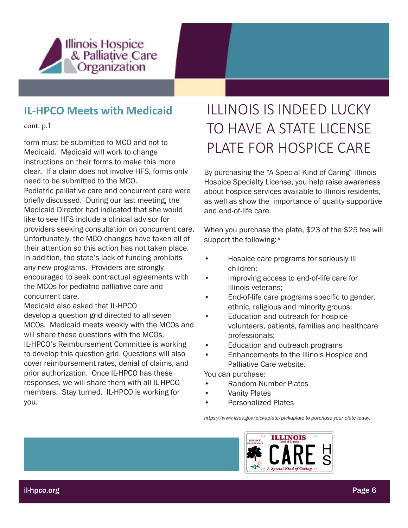

#### **IL-HPCO Meets with Medicaid**

cont. p.1

Medicaid. Medicaid will work to change instructions on their forms to make this more clear. If a claim does not involve HFS, forms only need to be submitted to the MCO.

Pediatric palliative care and concurrent care were briefly discussed. During our last meeting, the Medicaid Director had indicated that she would like to see HFS include a clinical advisor for providers seeking consultation on concurrent care. Unfortunately, the MCO changes have taken all of their attention so this action has not taken place. In addition, the state's lack of funding prohibits any new programs. Providers are strongly encouraged to seek contractual agreements with the MCOs for pediatric palliative care and concurrent care.

Medicaid also asked that IL-HPCO develop a question grid directed to all seven MCOs. Medicaid meets weekly with the MCOs and will share these questions with the MCOs. IL-HPCO's Reimbursement Committee is working to develop this question grid. Questions will also cover reimbursement rates, denial of claims, and prior authorization. Once IL-HPCO has these responses, we will share them with all IL-HPCO members. Stay turned. IL-HPCO is working for you.

## ILLINOIS IS INDEED LUCKY TO HAVE A STATE LICENSE Form must be submitted to MCO and not to<br>Mediasid Mediasid will weak to share **PLATE FOR HOSPICE CARE**

By purchasing the "A Special Kind of Caring" Illinois Hospice Specialty License, you help raise awareness about hospice services available to Illinois residents, as well as show the importance of quality supportive and end-of-life care.

When you purchase the plate, \$23 of the \$25 fee will support the following:\*

- Hospice care programs for seriously ill children;
- Improving access to end-of-life care for Illinois veterans;
- End-of-life care programs specific to gender, ethnic, religious and minority groups;
- Education and outreach for hospice volunteers, patients, families and healthcare professionals;
- Education and outreach programs
- Enhancements to the Illinois Hospice and Palliative Care website.

You can purchase:

- Random-Number Plates
- **Vanity Plates**
- Personalized Plates

*https://www.ilsos.gov/pickaplate/pickaplate to purchase your plate today.*